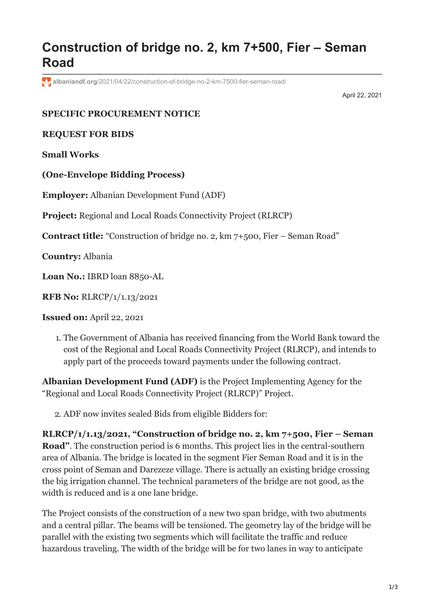## **Construction of bridge no. 2, km 7+500, Fier – Seman Road**

**albaniandf.org**[/2021/04/22/construction-of-bridge-no-2-km-7500-fier-seman-road/](https://www.albaniandf.org/2021/04/22/construction-of-bridge-no-2-km-7500-fier-seman-road/)

April 22, 2021

## **SPECIFIC PROCUREMENT NOTICE**

## **REQUEST FOR BIDS**

**Small Works**

**(One-Envelope Bidding Process)**

**Employer:** Albanian Development Fund (ADF)

**Project:** Regional and Local Roads Connectivity Project (RLRCP)

**Contract title:** "Construction of bridge no. 2, km 7+500, Fier – Seman Road"

**Country:** Albania

Loan No.: IBRD loan 8850-AL

**RFB No:** RLRCP/1/1.13/2021

**Issued on:** April 22, 2021

1. The Government of Albania has received financing from the World Bank toward the cost of the Regional and Local Roads Connectivity Project (RLRCP), and intends to apply part of the proceeds toward payments under the following contract.

**Albanian Development Fund (ADF)** is the Project Implementing Agency for the "Regional and Local Roads Connectivity Project (RLRCP)" Project.

2. ADF now invites sealed Bids from eligible Bidders for:

**RLRCP/1/1.13/2021, "Construction of bridge no. 2, km 7+500, Fier – Seman Road"**. The construction period is 6 months. This project lies in the central-southern area of Albania. The bridge is located in the segment Fier Seman Road and it is in the cross point of Seman and Darezeze village. There is actually an existing bridge crossing the big irrigation channel. The technical parameters of the bridge are not good, as the width is reduced and is a one lane bridge.

The Project consists of the construction of a new two span bridge, with two abutments and a central pillar. The beams will be tensioned. The geometry lay of the bridge will be parallel with the existing two segments which will facilitate the traffic and reduce hazardous traveling. The width of the bridge will be for two lanes in way to anticipate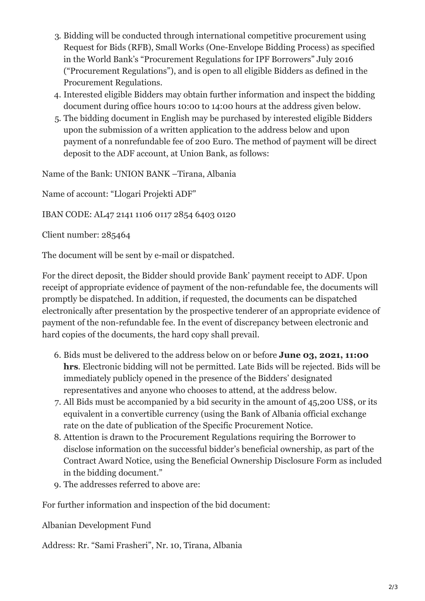- 3. Bidding will be conducted through international competitive procurement using Request for Bids (RFB), Small Works (One-Envelope Bidding Process) as specified in the World Bank's "Procurement Regulations for IPF Borrowers" July 2016 ("Procurement Regulations"), and is open to all eligible Bidders as defined in the Procurement Regulations.
- 4. Interested eligible Bidders may obtain further information and inspect the bidding document during office hours 10:00 to 14:00 hours at the address given below.
- 5. The bidding document in English may be purchased by interested eligible Bidders upon the submission of a written application to the address below and upon payment of a nonrefundable fee of 200 Euro. The method of payment will be direct deposit to the ADF account, at Union Bank, as follows:

Name of the Bank: UNION BANK –Tirana, Albania

Name of account: "Llogari Projekti ADF"

IBAN CODE: AL47 2141 1106 0117 2854 6403 0120

Client number: 285464

The document will be sent by e-mail or dispatched.

For the direct deposit, the Bidder should provide Bank' payment receipt to ADF. Upon receipt of appropriate evidence of payment of the non-refundable fee, the documents will promptly be dispatched. In addition, if requested, the documents can be dispatched electronically after presentation by the prospective tenderer of an appropriate evidence of payment of the non-refundable fee. In the event of discrepancy between electronic and hard copies of the documents, the hard copy shall prevail.

- 6. Bids must be delivered to the address below on or before **June 03, 2021, 11:00 hrs***.* Electronic bidding will not be permitted. Late Bids will be rejected. Bids will be immediately publicly opened in the presence of the Bidders' designated representatives and anyone who chooses to attend, at the address below.
- 7. All Bids must be accompanied by a bid security in the amount of 45,200 US\$, or its equivalent in a convertible currency (using the Bank of Albania official exchange rate on the date of publication of the Specific Procurement Notice.
- 8. Attention is drawn to the Procurement Regulations requiring the Borrower to disclose information on the successful bidder's beneficial ownership, as part of the Contract Award Notice, using the Beneficial Ownership Disclosure Form as included in the bidding document."
- 9. The addresses referred to above are:

For further information and inspection of the bid document:

Albanian Development Fund

Address: Rr. "Sami Frasheri", Nr. 10, Tirana, Albania